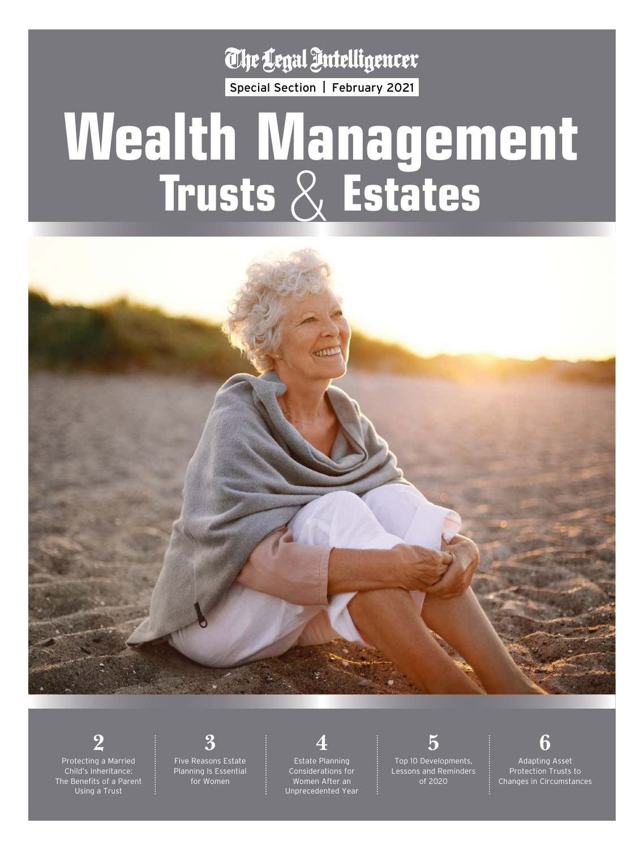The Legal Intelligencer

Special Section | February 2021

# **Wealth Management Trusts** & **Estates**



**2** Protecting a Married Child's Inheritance: The Benefits of a Parent Using a Trust

**3**

Five Reasons Estate Planning Is Essential for Women

**4** Estate Planning Considerations for Women After an Unprecedented Year

**5**

Top 10 Developments, Lessons and Reminders of 2020

**6** Adapting Asset Protection Trusts to Changes in Circumstances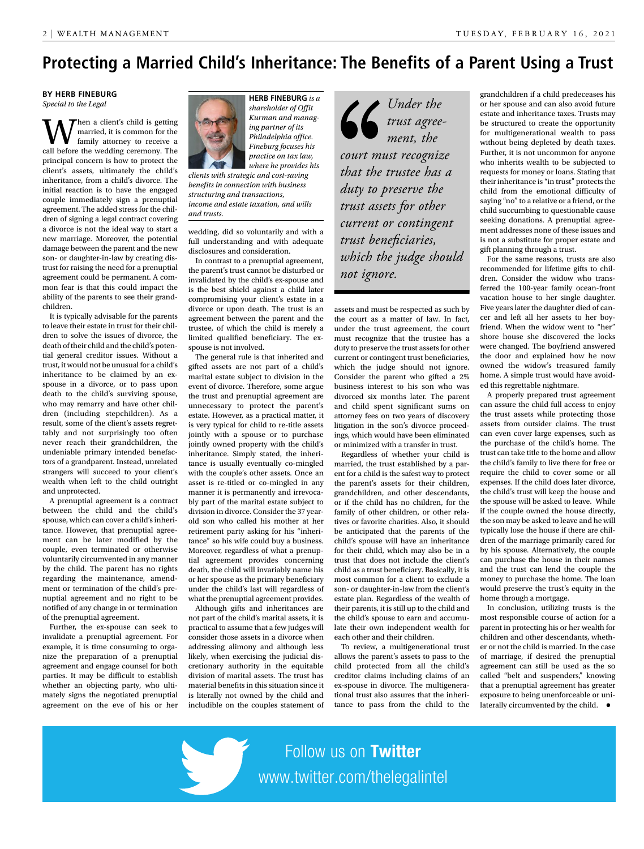### **Protecting a Married Child's Inheritance: The Benefits of a Parent Using a Trust**

### **BY HERB FINEBURG** *Special to the Legal*

hen a client's child is getting married, it is common for the family attorney to receive a call before the wedding ceremony. The principal concern is how to protect the client's assets, ultimately the child's inheritance, from a child's divorce. The initial reaction is to have the engaged couple immediately sign a prenuptial agreement. The added stress for the children of signing a legal contract covering a divorce is not the ideal way to start a new marriage. Moreover, the potential damage between the parent and the new son- or daughter-in-law by creating distrust for raising the need for a prenuptial agreement could be permanent. A common fear is that this could impact the ability of the parents to see their grandchildren.

It is typically advisable for the parents to leave their estate in trust for their children to solve the issues of divorce, the death of their child and the child's potential general creditor issues. Without a trust, it would not be unusual for a child's inheritance to be claimed by an exspouse in a divorce, or to pass upon death to the child's surviving spouse, who may remarry and have other children (including stepchildren). As a result, some of the client's assets regrettably and not surprisingly too often never reach their grandchildren, the undeniable primary intended benefactors of a grandparent. Instead, unrelated strangers will succeed to your client's wealth when left to the child outright and unprotected.

A prenuptial agreement is a contract between the child and the child's spouse, which can cover a child's inheritance. However, that prenuptial agreement can be later modified by the couple, even terminated or otherwise voluntarily circumvented in any manner by the child. The parent has no rights regarding the maintenance, amendment or termination of the child's prenuptial agreement and no right to be notified of any change in or termination of the prenuptial agreement.

Further, the ex-spouse can seek to invalidate a prenuptial agreement. For example, it is time consuming to organize the preparation of a prenuptial agreement and engage counsel for both parties. It may be difficult to establish whether an objecting party, who ultimately signs the negotiated prenuptial agreement on the eve of his or her



**HERB FINEBURG** *is a shareholder of Offit Kurman and managing partner of its Philadelphia office. Fineburg focuses his practice on tax law, where he provides his* 

*clients with strategic and cost-saving benefits in connection with business structuring and transactions, income and estate taxation, and wills and trusts.*

wedding, did so voluntarily and with a full understanding and with adequate disclosures and consideration.

In contrast to a prenuptial agreement, the parent's trust cannot be disturbed or invalidated by the child's ex-spouse and is the best shield against a child later compromising your client's estate in a divorce or upon death. The trust is an agreement between the parent and the trustee, of which the child is merely a limited qualified beneficiary. The exspouse is not involved.

The general rule is that inherited and gifted assets are not part of a child's marital estate subject to division in the event of divorce. Therefore, some argue the trust and prenuptial agreement are unnecessary to protect the parent's estate. However, as a practical matter, it is very typical for child to re-title assets jointly with a spouse or to purchase jointly owned property with the child's inheritance. Simply stated, the inheritance is usually eventually co-mingled with the couple's other assets. Once an asset is re-titled or co-mingled in any manner it is permanently and irrevocably part of the marital estate subject to division in divorce. Consider the 37 yearold son who called his mother at her retirement party asking for his "inheritance" so his wife could buy a business. Moreover, regardless of what a prenuptial agreement provides concerning death, the child will invariably name his or her spouse as the primary beneficiary under the child's last will regardless of what the prenuptial agreement provides.

Although gifts and inheritances are not part of the child's marital assets, it is practical to assume that a few judges will consider those assets in a divorce when addressing alimony and although less likely, when exercising the judicial discretionary authority in the equitable division of marital assets. The trust has material benefits in this situation since it is literally not owned by the child and includible on the couples statement of

*Under the trust agreement, the court must recognize that the trustee has a duty to preserve the trust assets for other current or contingent trust beneficiaries, which the judge should not ignore.*

assets and must be respected as such by the court as a matter of law. In fact, under the trust agreement, the court must recognize that the trustee has a duty to preserve the trust assets for other current or contingent trust beneficiaries, which the judge should not ignore. Consider the parent who gifted a 2% business interest to his son who was divorced six months later. The parent and child spent significant sums on attorney fees on two years of discovery litigation in the son's divorce proceedings, which would have been eliminated or minimized with a transfer in trust.

Regardless of whether your child is married, the trust established by a parent for a child is the safest way to protect the parent's assets for their children, grandchildren, and other descendants, or if the child has no children, for the family of other children, or other relatives or favorite charities. Also, it should be anticipated that the parents of the child's spouse will have an inheritance for their child, which may also be in a trust that does not include the client's child as a trust beneficiary. Basically, it is most common for a client to exclude a son- or daughter-in-law from the client's estate plan. Regardless of the wealth of their parents, it is still up to the child and the child's spouse to earn and accumulate their own independent wealth for each other and their children.

To review, a multigenerational trust allows the parent's assets to pass to the child protected from all the child's creditor claims including claims of an ex-spouse in divorce. The multigenerational trust also assures that the inheritance to pass from the child to the

grandchildren if a child predeceases his or her spouse and can also avoid future estate and inheritance taxes. Trusts may be structured to create the opportunity for multigenerational wealth to pass without being depleted by death taxes. Further, it is not uncommon for anyone who inherits wealth to be subjected to requests for money or loans. Stating that their inheritance is "in trust" protects the child from the emotional difficulty of saying "no" to a relative or a friend, or the child succumbing to questionable cause seeking donations. A prenuptial agreement addresses none of these issues and is not a substitute for proper estate and gift planning through a trust.

For the same reasons, trusts are also recommended for lifetime gifts to children. Consider the widow who transferred the 100-year family ocean-front vacation house to her single daughter. Five years later the daughter died of cancer and left all her assets to her boyfriend. When the widow went to "her" shore house she discovered the locks were changed. The boyfriend answered the door and explained how he now owned the widow's treasured family home. A simple trust would have avoided this regrettable nightmare.

A properly prepared trust agreement can assure the child full access to enjoy the trust assets while protecting those assets from outsider claims. The trust can even cover large expenses, such as the purchase of the child's home. The trust can take title to the home and allow the child's family to live there for free or require the child to cover some or all expenses. If the child does later divorce, the child's trust will keep the house and the spouse will be asked to leave. While if the couple owned the house directly, the son may be asked to leave and he will typically lose the house if there are children of the marriage primarily cared for by his spouse. Alternatively, the couple can purchase the house in their names and the trust can lend the couple the money to purchase the home. The loan would preserve the trust's equity in the home through a mortgage.

In conclusion, utilizing trusts is the most responsible course of action for a parent in protecting his or her wealth for children and other descendants, whether or not the child is married. In the case of marriage, if desired the prenuptial agreement can still be used as the so called "belt and suspenders," knowing that a prenuptial agreement has greater exposure to being unenforceable or unilaterally circumvented by the child.  $\bullet$ 

Follow us on Twitter www.twitter.com/thelegalintel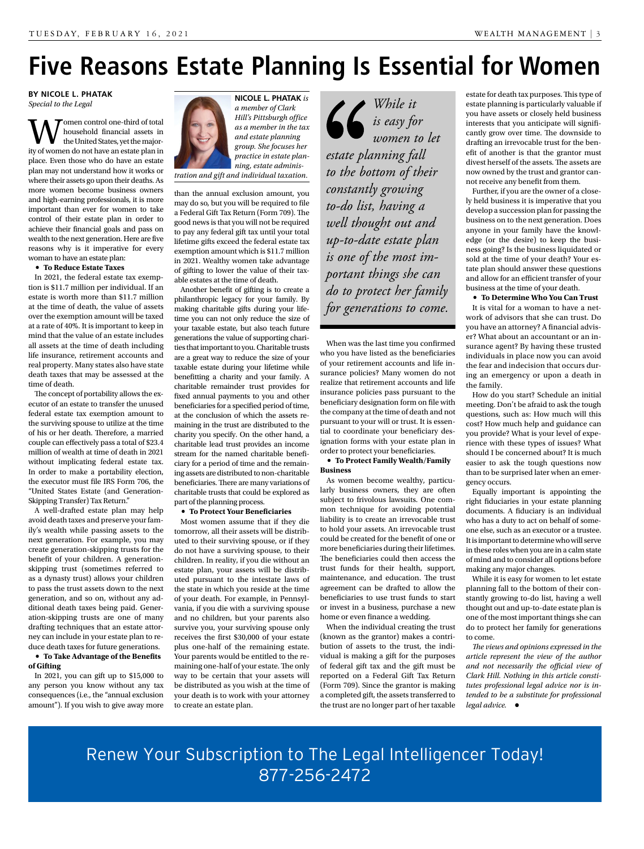### **Five Reasons Estate Planning Is Essential for Women**

**BY NICOLE L. PHATAK** *Special to the Legal*

Women control one-third of total<br>the United States, yet the major-<br>ity of women do not have an estate plan in household financial assets in the United States, yet the majority of women do not have an estate plan in place. Even those who do have an estate plan may not understand how it works or where their assets go upon their deaths. As more women become business owners and high-earning professionals, it is more important than ever for women to take control of their estate plan in order to achieve their financial goals and pass on wealth to the next generation. Here are five reasons why is it imperative for every woman to have an estate plan:

#### **• To Reduce Estate Taxes**

In 2021, the federal estate tax exemption is \$11.7 million per individual. If an estate is worth more than \$11.7 million at the time of death, the value of assets over the exemption amount will be taxed at a rate of 40%. It is important to keep in mind that the value of an estate includes all assets at the time of death including life insurance, retirement accounts and real property. Many states also have state death taxes that may be assessed at the time of death.

The concept of portability allows the executor of an estate to transfer the unused federal estate tax exemption amount to the surviving spouse to utilize at the time of his or her death. Therefore, a married couple can effectively pass a total of \$23.4 million of wealth at time of death in 2021 without implicating federal estate tax. In order to make a portability election, the executor must file IRS Form 706, the "United States Estate (and Generation-Skipping Transfer) Tax Return."

A well-drafted estate plan may help avoid death taxes and preserve your family's wealth while passing assets to the next generation. For example, you may create generation-skipping trusts for the benefit of your children. A generationskipping trust (sometimes referred to as a dynasty trust) allows your children to pass the trust assets down to the next generation, and so on, without any additional death taxes being paid. Generation-skipping trusts are one of many drafting techniques that an estate attorney can include in your estate plan to reduce death taxes for future generations. **• To Take Advantage of the Benefits** 

#### **of Gifting**

In 2021, you can gift up to \$15,000 to any person you know without any tax consequences (i.e., the "annual exclusion amount"). If you wish to give away more



**NICOLE L. PHATAK** *is a member of Clark Hill's Pittsburgh office as a member in the tax and estate planning group. She focuses her practice in estate planning, estate adminis-*

*tration and gift and individual taxation.*

than the annual exclusion amount, you may do so, but you will be required to file a Federal Gift Tax Return (Form 709). The good news is that you will not be required to pay any federal gift tax until your total lifetime gifts exceed the federal estate tax exemption amount which is \$11.7 million in 2021. Wealthy women take advantage of gifting to lower the value of their taxable estates at the time of death.

Another benefit of gifting is to create a philanthropic legacy for your family. By making charitable gifts during your lifetime you can not only reduce the size of your taxable estate, but also teach future generations the value of supporting charities that important to you. Charitable trusts are a great way to reduce the size of your taxable estate during your lifetime while benefitting a charity and your family. A charitable remainder trust provides for fixed annual payments to you and other beneficiaries for a specified period of time, at the conclusion of which the assets remaining in the trust are distributed to the charity you specify. On the other hand, a charitable lead trust provides an income stream for the named charitable beneficiary for a period of time and the remaining assets are distributed to non-charitable beneficiaries. There are many variations of charitable trusts that could be explored as part of the planning process.

#### **• To Protect Your Beneficiaries**

Most women assume that if they die tomorrow, all their assets will be distributed to their surviving spouse, or if they do not have a surviving spouse, to their children. In reality, if you die without an estate plan, your assets will be distributed pursuant to the intestate laws of the state in which you reside at the time of your death. For example, in Pennsylvania, if you die with a surviving spouse and no children, but your parents also survive you, your surviving spouse only receives the first \$30,000 of your estate plus one-half of the remaining estate. Your parents would be entitled to the remaining one-half of your estate. The only way to be certain that your assets will be distributed as you wish at the time of your death is to work with your attorney to create an estate plan.

*While it is easy for women to let estate planning fall to the bottom of their constantly growing to-do list, having a well thought out and up-to-date estate plan is one of the most important things she can do to protect her family for generations to come.*

When was the last time you confirmed who you have listed as the beneficiaries of your retirement accounts and life insurance policies? Many women do not realize that retirement accounts and life insurance policies pass pursuant to the beneficiary designation form on file with the company at the time of death and not pursuant to your will or trust. It is essential to coordinate your beneficiary designation forms with your estate plan in order to protect your beneficiaries.

### **• To Protect Family Wealth/Family Business**

As women become wealthy, particularly business owners, they are often subject to frivolous lawsuits. One common technique for avoiding potential liability is to create an irrevocable trust to hold your assets. An irrevocable trust could be created for the benefit of one or more beneficiaries during their lifetimes. The beneficiaries could then access the trust funds for their health, support, maintenance, and education. The trust agreement can be drafted to allow the beneficiaries to use trust funds to start or invest in a business, purchase a new home or even finance a wedding.

When the individual creating the trust (known as the grantor) makes a contribution of assets to the trust, the individual is making a gift for the purposes of federal gift tax and the gift must be reported on a Federal Gift Tax Return (Form 709). Since the grantor is making a completed gift, the assets transferred to the trust are no longer part of her taxable estate for death tax purposes. This type of estate planning is particularly valuable if you have assets or closely held business interests that you anticipate will significantly grow over time. The downside to drafting an irrevocable trust for the benefit of another is that the grantor must divest herself of the assets. The assets are now owned by the trust and grantor cannot receive any benefit from them.

Further, if you are the owner of a closely held business it is imperative that you develop a succession plan for passing the business on to the next generation. Does anyone in your family have the knowledge (or the desire) to keep the business going? Is the business liquidated or sold at the time of your death? Your estate plan should answer these questions and allow for an efficient transfer of your business at the time of your death.

**• To Determine Who You Can Trust** It is vital for a woman to have a network of advisors that she can trust. Do you have an attorney? A financial adviser? What about an accountant or an insurance agent? By having these trusted individuals in place now you can avoid the fear and indecision that occurs during an emergency or upon a death in the family.

How do you start? Schedule an initial meeting. Don't be afraid to ask the tough questions, such as: How much will this cost? How much help and guidance can you provide? What is your level of experience with these types of issues? What should I be concerned about? It is much easier to ask the tough questions now than to be surprised later when an emergency occurs.

Equally important is appointing the right fiduciaries in your estate planning documents. A fiduciary is an individual who has a duty to act on behalf of someone else, such as an executor or a trustee. It is important to determine who will serve in these roles when you are in a calm state of mind and to consider all options before making any major changes.

While it is easy for women to let estate planning fall to the bottom of their constantly growing to-do list, having a well thought out and up-to-date estate plan is one of the most important things she can do to protect her family for generations to come.

*The views and opinions expressed in the article represent the view of the author and not necessarily the official view of Clark Hill. Nothing in this article constitutes professional legal advice nor is intended to be a substitute for professional legal advice.* •

Renew Your Subscription to The Legal Intelligencer Today! 877-256-2472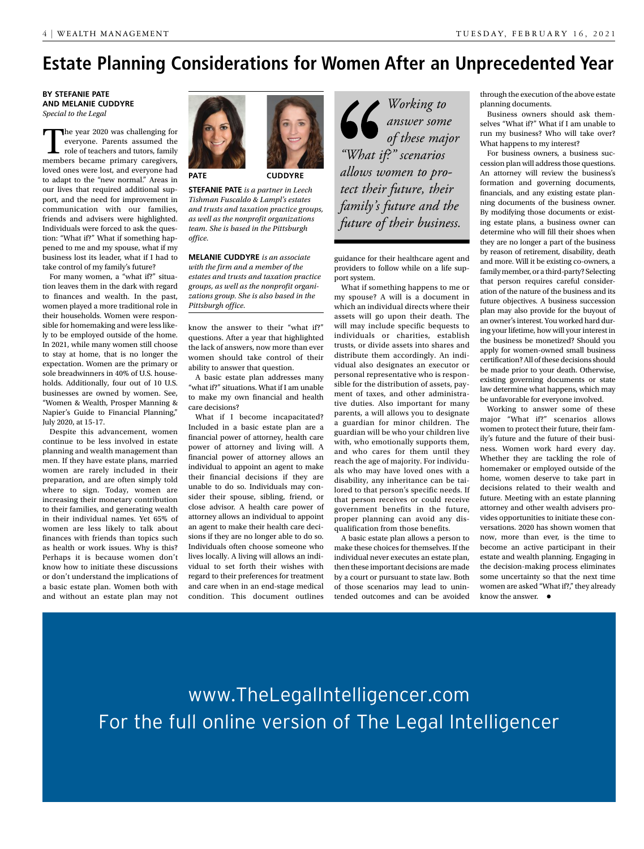### **Estate Planning Considerations for Women After an Unprecedented Year**

**BY STEFANIE PATE AND MELANIE CUDDYRE** *Special to the Legal*

The year 2020 was challenging for everyone. Parents assumed the role of teachers and tutors, family members became primary caregivers, loved ones were lost, and everyone had to adapt to the "new normal." Areas in our lives that required additional support, and the need for improvement in communication with our families, friends and advisers were highlighted. Individuals were forced to ask the question: "What if?" What if something happened to me and my spouse, what if my business lost its leader, what if I had to take control of my family's future?

For many women, a "what if?" situation leaves them in the dark with regard to finances and wealth. In the past, women played a more traditional role in their households. Women were responsible for homemaking and were less likely to be employed outside of the home. In 2021, while many women still choose to stay at home, that is no longer the expectation. Women are the primary or sole breadwinners in 40% of U.S. households. Additionally, four out of 10 U.S. businesses are owned by women. See, "Women & Wealth, Prosper Manning & Napier's Guide to Financial Planning," July 2020, at 15-17.

Despite this advancement, women continue to be less involved in estate planning and wealth management than men. If they have estate plans, married women are rarely included in their preparation, and are often simply told where to sign. Today, women are increasing their monetary contribution to their families, and generating wealth in their individual names. Yet 65% of women are less likely to talk about finances with friends than topics such as health or work issues. Why is this? Perhaps it is because women don't know how to initiate these discussions or don't understand the implications of a basic estate plan. Women both with and without an estate plan may not



**PATE CUDDYRE**

**STEFANIE PATE** *is a partner in Leech Tishman Fuscaldo & Lampl's estates and trusts and taxation practice groups, as well as the nonprofit organizations team. She is based in the Pittsburgh office.* 

**MELANIE CUDDYRE** *is an associate with the firm and a member of the estates and trusts and taxation practice groups, as well as the nonprofit organizations group. She is also based in the Pittsburgh office.*

know the answer to their "what if?" questions. After a year that highlighted the lack of answers, now more than ever women should take control of their ability to answer that question.

A basic estate plan addresses many "what if?" situations. What if I am unable to make my own financial and health care decisions?

What if I become incapacitated? Included in a basic estate plan are a financial power of attorney, health care power of attorney and living will. A financial power of attorney allows an individual to appoint an agent to make their financial decisions if they are unable to do so. Individuals may consider their spouse, sibling, friend, or close advisor. A health care power of attorney allows an individual to appoint an agent to make their health care decisions if they are no longer able to do so. Individuals often choose someone who lives locally. A living will allows an individual to set forth their wishes with regard to their preferences for treatment and care when in an end-stage medical condition. This document outlines

*Working to answer some of these major "What if?" scenarios allows women to protect their future, their family's future and the future of their business.*

guidance for their healthcare agent and providers to follow while on a life support system.

What if something happens to me or my spouse? A will is a document in which an individual directs where their assets will go upon their death. The will may include specific bequests to individuals or charities, establish trusts, or divide assets into shares and distribute them accordingly. An individual also designates an executor or personal representative who is responsible for the distribution of assets, payment of taxes, and other administrative duties. Also important for many parents, a will allows you to designate a guardian for minor children. The guardian will be who your children live with, who emotionally supports them, and who cares for them until they reach the age of majority. For individuals who may have loved ones with a disability, any inheritance can be tailored to that person's specific needs. If that person receives or could receive government benefits in the future, proper planning can avoid any disqualification from those benefits.

A basic estate plan allows a person to make these choices for themselves. If the individual never executes an estate plan, then these important decisions are made by a court or pursuant to state law. Both of those scenarios may lead to unintended outcomes and can be avoided through the execution of the above estate planning documents.

Business owners should ask themselves "What if?" What if I am unable to run my business? Who will take over? What happens to my interest?

For business owners, a business succession plan will address those questions. An attorney will review the business's formation and governing documents, financials, and any existing estate planning documents of the business owner. By modifying those documents or existing estate plans, a business owner can determine who will fill their shoes when they are no longer a part of the business by reason of retirement, disability, death and more. Will it be existing co-owners, a family member, or a third-party? Selecting that person requires careful consideration of the nature of the business and its future objectives. A business succession plan may also provide for the buyout of an owner's interest. You worked hard during your lifetime, how will your interest in the business be monetized? Should you apply for women-owned small business certification? All of these decisions should be made prior to your death. Otherwise, existing governing documents or state law determine what happens, which may be unfavorable for everyone involved.

Working to answer some of these major "What if?" scenarios allows women to protect their future, their family's future and the future of their business. Women work hard every day. Whether they are tackling the role of homemaker or employed outside of the home, women deserve to take part in decisions related to their wealth and future. Meeting with an estate planning attorney and other wealth advisers provides opportunities to initiate these conversations. 2020 has shown women that now, more than ever, is the time to become an active participant in their estate and wealth planning. Engaging in the decision-making process eliminates some uncertainty so that the next time women are asked "What if?," they already know the answer.  $\bullet$ 

www.TheLegalIntelligencer.com For the full online version of The Legal Intelligencer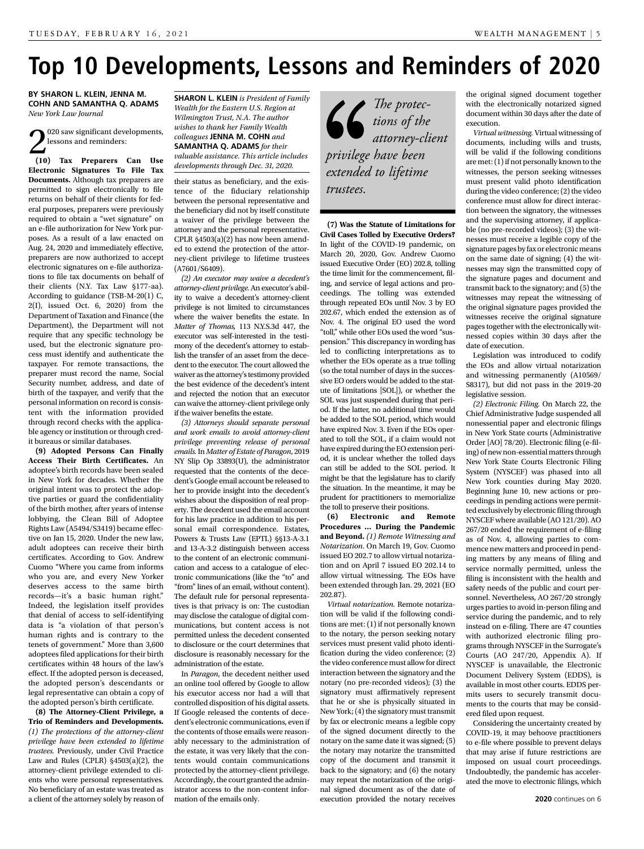### **Top 10 Developments, Lessons and Reminders of 2020**

**BY SHARON L. KLEIN, JENNA M. COHN AND SAMANTHA Q. ADAMS** *New York Law Journal*

2<sup>020</sup> saw significant developments,<br>lessons and reminders:<br>(10) Tax Preparers Can Use 020 saw significant developments, lessons and reminders:

**Electronic Signatures To File Tax Documents.** Although tax preparers are permitted to sign electronically to file returns on behalf of their clients for federal purposes, preparers were previously required to obtain a "wet signature" on an e-file authorization for New York purposes. As a result of a law enacted on Aug. 24, 2020 and immediately effective, preparers are now authorized to accept electronic signatures on e-file authorizations to file tax documents on behalf of their clients (N.Y. Tax Law §177-aa). According to guidance (TSB-M-20(1) C,  $2(I)$ , issued Oct. 6, 2020) from the Department of Taxation and Finance (the Department), the Department will not require that any specific technology be used, but the electronic signature process must identify and authenticate the taxpayer. For remote transactions, the preparer must record the name, Social Security number, address, and date of birth of the taxpayer, and verify that the personal information on record is consistent with the information provided through record checks with the applicable agency or institution or through credit bureaus or similar databases.

**(9) Adopted Persons Can Finally Access Their Birth Certificates.** An adoptee's birth records have been sealed in New York for decades. Whether the original intent was to protect the adoptive parties or guard the confidentiality of the birth mother, after years of intense lobbying, the Clean Bill of Adoptee Rights Law (A5494/S3419) became effective on Jan 15, 2020. Under the new law, adult adoptees can receive their birth certificates. According to Gov. Andrew Cuomo "Where you came from informs who you are, and every New Yorker deserves access to the same birth records—it's a basic human right." Indeed, the legislation itself provides that denial of access to self-identifying data is "a violation of that person's human rights and is contrary to the tenets of government." More than 3,600 adoptees filed applications for their birth certificates within 48 hours of the law's effect. If the adopted person is deceased, the adopted person's descendants or legal representative can obtain a copy of the adopted person's birth certificate.

**(8) The Attorney-Client Privilege, a Trio of Reminders and Developments.**  *(1) The protections of the attorney-client privilege have been extended to lifetime trustees.* Previously, under Civil Practice Law and Rules (CPLR)  $$4503(a)(2)$ , the attorney-client privilege extended to clients who were personal representatives. No beneficiary of an estate was treated as a client of the attorney solely by reason of **SHARON L. KLEIN** *is President of Family Wealth for the Eastern U.S. Region at Wilmington Trust, N.A. The author wishes to thank her Family Wealth colleagues* **JENNA M. COHN** *and*  **SAMANTHA Q. ADAMS** *for their valuable assistance. This article includes developments through Dec. 31, 2020.*

their status as beneficiary, and the existence of the fiduciary relationship between the personal representative and the beneficiary did not by itself constitute a waiver of the privilege between the attorney and the personal representative. CPLR §4503(a)(2) has now been amended to extend the protection of the attorney-client privilege to lifetime trustees (A7601/S6409).

*(2) An executor may waive a decedent's attorney-client privilege.* An executor's ability to waive a decedent's attorney-client privilege is not limited to circumstances where the waiver benefits the estate. In *Matter of Thomas,* 113 N.Y.S.3d 447, the executor was self-interested in the testimony of the decedent's attorney to establish the transfer of an asset from the decedent to the executor. The court allowed the waiver as the attorney's testimony provided the best evidence of the decedent's intent and rejected the notion that an executor can waive the attorney-client privilege only if the waiver benefits the estate.

*(3) Attorneys should separate personal and work emails to avoid attorney-client privilege preventing release of personal emails.* In *Matter of Estate of Paragon*, 2019 NY Slip Op 33893(U), the administrator requested that the contents of the decedent's Google email account be released to her to provide insight into the decedent's wishes about the disposition of real property. The decedent used the email account for his law practice in addition to his personal email correspondence. Estates, Powers & Trusts Law (EPTL) §§13-A-3.1 and 13-A-3.2 distinguish between access to the content of an electronic communication and access to a catalogue of electronic communications (like the "to" and "from" lines of an email, without content). The default rule for personal representatives is that privacy is on: The custodian may disclose the catalogue of digital communications, but content access is not permitted unless the decedent consented to disclosure or the court determines that disclosure is reasonably necessary for the administration of the estate.

In *Paragon*, the decedent neither used an online tool offered by Google to allow his executor access nor had a will that controlled disposition of his digital assets. If Google released the contents of decedent's electronic communications, even if the contents of those emails were reasonably necessary to the administration of the estate, it was very likely that the contents would contain communications protected by the attorney-client privilege. Accordingly, the court granted the administrator access to the non-content information of the emails only.



**(7) Was the Statute of Limitations for Civil Cases Tolled by Executive Orders?**  In light of the COVID-19 pandemic, on March 20, 2020, Gov. Andrew Cuomo issued Executive Order (EO) 202.8, tolling the time limit for the commencement, filing, and service of legal actions and proceedings. The tolling was extended through repeated EOs until Nov. 3 by EO 202.67, which ended the extension as of Nov. 4. The original EO used the word "toll," while other EOs used the word "suspension." This discrepancy in wording has led to conflicting interpretations as to whether the EOs operate as a true tolling (so the total number of days in the successive EO orders would be added to the statute of limitations [SOL]), or whether the SOL was just suspended during that period. If the latter, no additional time would be added to the SOL period, which would have expired Nov. 3. Even if the EOs operated to toll the SOL, if a claim would not have expired during the EO extension period, it is unclear whether the tolled days can still be added to the SOL period. It might be that the legislature has to clarify the situation. In the meantime, it may be prudent for practitioners to memorialize the toll to preserve their positions.

**(6) Electronic and Remote Procedures … During the Pandemic and Beyond.** *(1) Remote Witnessing and Notarization*. On March 19, Gov. Cuomo issued EO 202.7 to allow virtual notarization and on April 7 issued EO 202.14 to allow virtual witnessing. The EOs have been extended through Jan. 29, 2021 (EO 202.87).

*Virtual notarization.* Remote notarization will be valid if the following conditions are met: (1) if not personally known to the notary, the person seeking notary services must present valid photo identification during the video conference; (2) the video conference must allow for direct interaction between the signatory and the notary (no pre-recorded videos); (3) the signatory must affirmatively represent that he or she is physically situated in New York; (4) the signatory must transmit by fax or electronic means a legible copy of the signed document directly to the notary on the same date it was signed; (5) the notary may notarize the transmitted copy of the document and transmit it back to the signatory; and (6) the notary may repeat the notarization of the original signed document as of the date of execution provided the notary receives

the original signed document together with the electronically notarized signed document within 30 days after the date of execution.

*Virtual witnessing.* Virtual witnessing of documents, including wills and trusts, will be valid if the following conditions are met: (1) if not personally known to the witnesses, the person seeking witnesses must present valid photo identification during the video conference; (2) the video conference must allow for direct interaction between the signatory, the witnesses and the supervising attorney, if applicable (no pre-recorded videos); (3) the witnesses must receive a legible copy of the signature pages by fax or electronic means on the same date of signing; (4) the witnesses may sign the transmitted copy of the signature pages and document and transmit back to the signatory; and (5) the witnesses may repeat the witnessing of the original signature pages provided the witnesses receive the original signature pages together with the electronically witnessed copies within 30 days after the date of execution.

Legislation was introduced to codify the EOs and allow virtual notarization and witnessing permanently (A10569/ S8317), but did not pass in the 2019-20 legislative session.

*(2) Electronic Filing.* On March 22, the Chief Administrative Judge suspended all nonessential paper and electronic filings in New York State courts (Administrative Order [AO] 78/20). Electronic filing (e-filing) of new non-essential matters through New York State Courts Electronic Filing System (NYSCEF) was phased into all New York counties during May 2020. Beginning June 10, new actions or proceedings in pending actions were permitted exclusively by electronic filing through NYSCEF where available (AO 121/20). AO 267/20 ended the requirement of e-filing as of Nov. 4, allowing parties to commence new matters and proceed in pending matters by any means of filing and service normally permitted, unless the filing is inconsistent with the health and safety needs of the public and court personnel. Nevertheless, AO 267/20 strongly urges parties to avoid in-person filing and service during the pandemic, and to rely instead on e-filing. There are 47 counties with authorized electronic filing programs through NYSCEF in the Surrogate's Courts (AO 247/20, Appendix A). If NYSCEF is unavailable, the Electronic Document Delivery System (EDDS), is available in most other courts. EDDS permits users to securely transmit documents to the courts that may be considered filed upon request.

Considering the uncertainty created by COVID-19, it may behoove practitioners to e-file where possible to prevent delays that may arise if future restrictions are imposed on usual court proceedings. Undoubtedly, the pandemic has accelerated the move to electronic filings, which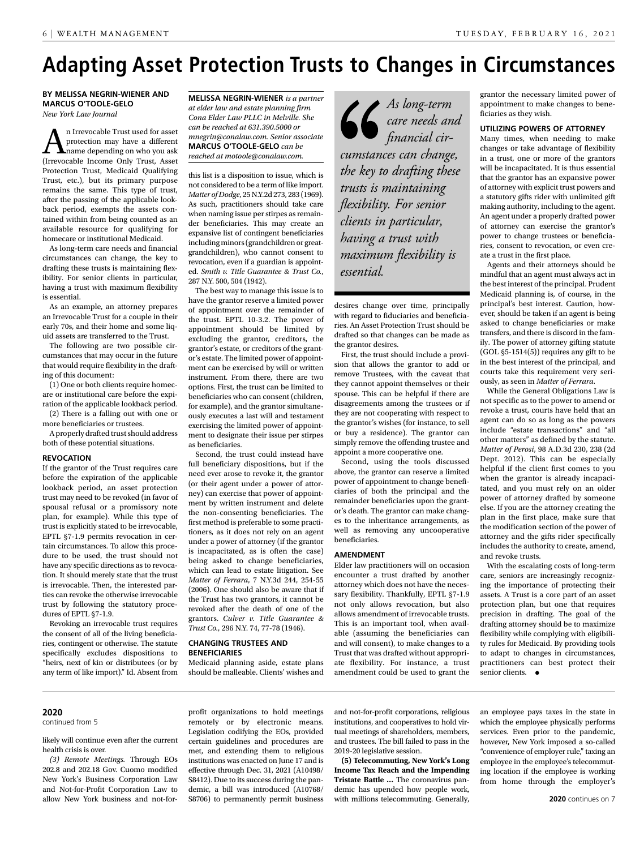### **Adapting Asset Protection Trusts to Changes in Circumstances**

**BY MELISSA NEGRIN-WIENER AND MARCUS O'TOOLE-GELO** *New York Law Journal*

**A**n Irrevocable Trust used for asset<br>protection may have a different<br>formed and the proped only Trust Asset protection may have a different name depending on who you ask (Irrevocable Income Only Trust, Asset Protection Trust, Medicaid Qualifying Trust, etc.), but its primary purpose remains the same. This type of trust, after the passing of the applicable lookback period, exempts the assets contained within from being counted as an available resource for qualifying for homecare or institutional Medicaid.

As long-term care needs and financial circumstances can change, the key to drafting these trusts is maintaining flexibility. For senior clients in particular, having a trust with maximum flexibility is essential.

As an example, an attorney prepares an Irrevocable Trust for a couple in their early 70s, and their home and some liquid assets are transferred to the Trust.

The following are two possible circumstances that may occur in the future that would require flexibility in the drafting of this document:

(1) One or both clients require homecare or institutional care before the expiration of the applicable lookback period.

(2) There is a falling out with one or more beneficiaries or trustees. A properly drafted trust should address

both of these potential situations.

#### **REVOCATION**

If the grantor of the Trust requires care before the expiration of the applicable lookback period, an asset protection trust may need to be revoked (in favor of spousal refusal or a promissory note plan, for example). While this type of trust is explicitly stated to be irrevocable, EPTL §7-1.9 permits revocation in certain circumstances. To allow this procedure to be used, the trust should not have any specific directions as to revocation. It should merely state that the trust is irrevocable. Then, the interested parties can revoke the otherwise irrevocable trust by following the statutory procedures of EPTL §7-1.9.

Revoking an irrevocable trust requires the consent of all of the living beneficiaries, contingent or otherwise. The statute specifically excludes dispositions to "heirs, next of kin or distributees (or by any term of like import)." Id. Absent from

**MELISSA NEGRIN-WIENER** *is a partner at elder law and estate planning firm Cona Elder Law PLLC in Melville. She can be reached at 631.390.5000 or mnegrin@conalaw.com. Senior associate*  **MARCUS O'TOOLE-GELO** *can be reached at motoole@conalaw.com.*

this list is a disposition to issue, which is not considered to be a term of like import. *Matter of Dodge*, 25 N.Y.2d 273, 283 (1969). As such, practitioners should take care when naming issue per stirpes as remainder beneficiaries. This may create an expansive list of contingent beneficiaries including minors (grandchildren or greatgrandchildren), who cannot consent to revocation, even if a guardian is appointed. *Smith v. Title Guarantee & Trust Co.*, 287 N.Y. 500, 504 (1942).

The best way to manage this issue is to have the grantor reserve a limited power of appointment over the remainder of the trust. EPTL 10-3.2. The power of appointment should be limited by excluding the grantor, creditors, the grantor's estate, or creditors of the grantor's estate. The limited power of appointment can be exercised by will or written instrument. From there, there are two options. First, the trust can be limited to beneficiaries who can consent (children, for example), and the grantor simultaneously executes a last will and testament exercising the limited power of appointment to designate their issue per stirpes as beneficiaries.

Second, the trust could instead have full beneficiary dispositions, but if the need ever arose to revoke it, the grantor (or their agent under a power of attorney) can exercise that power of appointment by written instrument and delete the non-consenting beneficiaries. The first method is preferable to some practitioners, as it does not rely on an agent under a power of attorney (if the grantor is incapacitated, as is often the case) being asked to change beneficiaries, which can lead to estate litigation. See *Matter of Ferrara*, 7 N.Y.3d 244, 254-55 (2006). One should also be aware that if the Trust has two grantors, it cannot be revoked after the death of one of the grantors. *Culver v. Title Guarantee & Trust Co.*, 296 N.Y. 74, 77-78 (1946).

### **CHANGING TRUSTEES AND BENEFICIARIES**

Medicaid planning aside, estate plans should be malleable. Clients' wishes and

*As long-term care needs and financial circumstances can change, the key to drafting these trusts is maintaining flexibility. For senior clients in particular, having a trust with maximum flexibility is essential.*

desires change over time, principally with regard to fiduciaries and beneficiaries. An Asset Protection Trust should be drafted so that changes can be made as the grantor desires.

First, the trust should include a provision that allows the grantor to add or remove Trustees, with the caveat that they cannot appoint themselves or their spouse. This can be helpful if there are disagreements among the trustees or if they are not cooperating with respect to the grantor's wishes (for instance, to sell or buy a residence). The grantor can simply remove the offending trustee and appoint a more cooperative one.

Second, using the tools discussed above, the grantor can reserve a limited power of appointment to change beneficiaries of both the principal and the remainder beneficiaries upon the grantor's death. The grantor can make changes to the inheritance arrangements, as well as removing any uncooperative beneficiaries.

### **AMENDMENT**

Elder law practitioners will on occasion encounter a trust drafted by another attorney which does not have the necessary flexibility. Thankfully, EPTL §7-1.9 not only allows revocation, but also allows amendment of irrevocable trusts. This is an important tool, when available (assuming the beneficiaries can and will consent), to make changes to a Trust that was drafted without appropriate flexibility. For instance, a trust amendment could be used to grant the

grantor the necessary limited power of appointment to make changes to beneficiaries as they wish.

### **UTILIZING POWERS OF ATTORNEY**

Many times, when needing to make changes or take advantage of flexibility in a trust, one or more of the grantors will be incapacitated. It is thus essential that the grantor has an expansive power of attorney with explicit trust powers and a statutory gifts rider with unlimited gift making authority, including to the agent. An agent under a properly drafted power of attorney can exercise the grantor's power to change trustees or beneficiaries, consent to revocation, or even create a trust in the first place.

Agents and their attorneys should be mindful that an agent must always act in the best interest of the principal. Prudent Medicaid planning is, of course, in the principal's best interest. Caution, however, should be taken if an agent is being asked to change beneficiaries or make transfers, and there is discord in the family. The power of attorney gifting statute (GOL §5-1514(5)) requires any gift to be in the best interest of the principal, and courts take this requirement very seriously, as seen in *Matter of Ferrara*.

While the General Obligations Law is not specific as to the power to amend or revoke a trust, courts have held that an agent can do so as long as the powers include "estate transactions" and "all other matters" as defined by the statute. *Matter of Perosi*, 98 A.D.3d 230, 238 (2d Dept. 2012). This can be especially helpful if the client first comes to you when the grantor is already incapacitated, and you must rely on an older power of attorney drafted by someone else. If you are the attorney creating the plan in the first place, make sure that the modification section of the power of attorney and the gifts rider specifically includes the authority to create, amend, and revoke trusts.

With the escalating costs of long-term care, seniors are increasingly recognizing the importance of protecting their assets. A Trust is a core part of an asset protection plan, but one that requires precision in drafting. The goal of the drafting attorney should be to maximize flexibility while complying with eligibility rules for Medicaid. By providing tools to adapt to changes in circumstances, practitioners can best protect their senior clients.  $\bullet$ 

### **2020**

continued from 5

likely will continue even after the current health crisis is over.

*(3) Remote Meetings.* Through EOs 202.8 and 202.18 Gov. Cuomo modified New York's Business Corporation Law and Not-for-Profit Corporation Law to allow New York business and not-for-

profit organizations to hold meetings remotely or by electronic means. Legislation codifying the EOs, provided certain guidelines and procedures are met, and extending them to religious institutions was enacted on June 17 and is effective through Dec. 31, 2021 (A10498/ S8412). Due to its success during the pandemic, a bill was introduced (A10768/ S8706) to permanently permit business

and not-for-profit corporations, religious institutions, and cooperatives to hold virtual meetings of shareholders, members, and trustees. The bill failed to pass in the 2019-20 legislative session.

**(5) Telecommuting, New York's Long Income Tax Reach and the Impending Tristate Battle …** The coronavirus pandemic has upended how people work, with millions telecommuting. Generally,

an employee pays taxes in the state in which the employee physically performs services. Even prior to the pandemic, however, New York imposed a so-called "convenience of employer rule," taxing an employee in the employee's telecommuting location if the employee is working from home through the employer's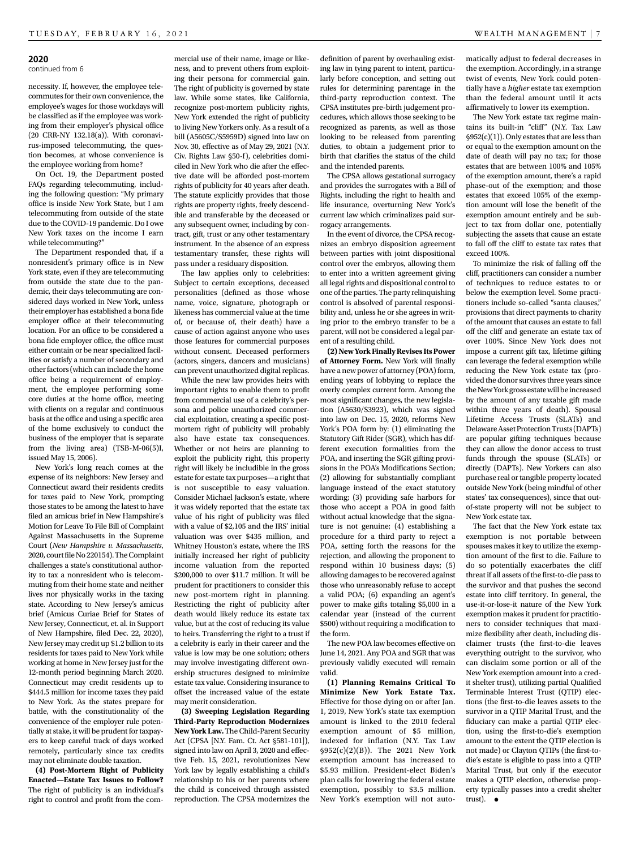#### **2020**

continued from 6

necessity. If, however, the employee telecommutes for their own convenience, the employee's wages for those workdays will be classified as if the employee was working from their employer's physical office (20 CRR-NY 132.18(a)). With coronavirus-imposed telecommuting, the question becomes, at whose convenience is the employee working from home?

On Oct. 19, the Department posted FAQs regarding telecommuting, including the following question: "My primary office is inside New York State, but I am telecommuting from outside of the state due to the COVID-19 pandemic. Do I owe New York taxes on the income I earn while telecommuting?"

The Department responded that, if a nonresident's primary office is in New York state, even if they are telecommuting from outside the state due to the pandemic, their days telecommuting are considered days worked in New York, unless their employer has established a bona fide employer office at their telecommuting location. For an office to be considered a bona fide employer office, the office must either contain or be near specialized facilities or satisfy a number of secondary and other factors (which can include the home office being a requirement of employment, the employee performing some core duties at the home office, meeting with clients on a regular and continuous basis at the office and using a specific area of the home exclusively to conduct the business of the employer that is separate from the living area) (TSB-M-06(5)I, issued May 15, 2006).

New York's long reach comes at the expense of its neighbors: New Jersey and Connecticut award their residents credits for taxes paid to New York, prompting those states to be among the latest to have filed an amicus brief in New Hampshire's Motion for Leave To File Bill of Complaint Against Massachusetts in the Supreme Court (*New Hampshire v. Massachusetts*, 2020, court file No 220154). The Complaint challenges a state's constitutional authority to tax a nonresident who is telecommuting from their home state and neither lives nor physically works in the taxing state. According to New Jersey's amicus brief (Amicus Curiae Brief for States of New Jersey, Connecticut, et. al. in Support of New Hampshire, filed Dec. 22, 2020), New Jersey may credit up \$1.2 billion to its residents for taxes paid to New York while working at home in New Jersey just for the 12-month period beginning March 2020. Connecticut may credit residents up to \$444.5 million for income taxes they paid to New York. As the states prepare for battle, with the constitutionality of the convenience of the employer rule potentially at stake, it will be prudent for taxpayers to keep careful track of days worked remotely, particularly since tax credits may not eliminate double taxation.

**(4) Post-Mortem Right of Publicity Enacted—Estate Tax Issues to Follow?**  The right of publicity is an individual's right to control and profit from the commercial use of their name, image or likeness, and to prevent others from exploiting their persona for commercial gain. The right of publicity is governed by state law. While some states, like California, recognize post-mortem publicity rights, New York extended the right of publicity to living New Yorkers only. As a result of a bill (A5605C/S5959D) signed into law on Nov. 30, effective as of May 29, 2021 (N.Y. Civ. Rights Law §50-f), celebrities domiciled in New York who die after the effective date will be afforded post-mortem rights of publicity for 40 years after death. The statute explicitly provides that those rights are property rights, freely descendible and transferable by the deceased or any subsequent owner, including by contract, gift, trust or any other testamentary instrument. In the absence of an express testamentary transfer, these rights will pass under a residuary disposition.

The law applies only to celebrities: Subject to certain exceptions, deceased personalities (defined as those whose name, voice, signature, photograph or likeness has commercial value at the time of, or because of, their death) have a cause of action against anyone who uses those features for commercial purposes without consent. Deceased performers (actors, singers, dancers and musicians) can prevent unauthorized digital replicas.

While the new law provides heirs with important rights to enable them to profit from commercial use of a celebrity's persona and police unauthorized commercial exploitation, creating a specific postmortem right of publicity will probably also have estate tax consequences. Whether or not heirs are planning to exploit the publicity right, this property right will likely be includible in the gross estate for estate tax purposes—a right that is not susceptible to easy valuation. Consider Michael Jackson's estate, where it was widely reported that the estate tax value of his right of publicity was filed with a value of \$2,105 and the IRS' initial valuation was over \$435 million, and Whitney Houston's estate, where the IRS initially increased her right of publicity income valuation from the reported \$200,000 to over \$11.7 million. It will be prudent for practitioners to consider this new post-mortem right in planning. Restricting the right of publicity after death would likely reduce its estate tax value, but at the cost of reducing its value to heirs. Transferring the right to a trust if a celebrity is early in their career and the value is low may be one solution; others may involve investigating different ownership structures designed to minimize estate tax value. Considering insurance to offset the increased value of the estate may merit consideration.

**(3) Sweeping Legislation Regarding Third-Party Reproduction Modernizes New York Law.** The Child-Parent Security Act (CPSA [N.Y. Fam. Ct. Act §581-101]), signed into law on April 3, 2020 and effective Feb. 15, 2021, revolutionizes New York law by legally establishing a child's relationship to his or her parents where the child is conceived through assisted reproduction. The CPSA modernizes the

definition of parent by overhauling existing law in tying parent to intent, particularly before conception, and setting out rules for determining parentage in the third-party reproduction context. The CPSA institutes pre-birth judgement procedures, which allows those seeking to be recognized as parents, as well as those looking to be released from parenting duties, to obtain a judgement prior to birth that clarifies the status of the child and the intended parents.

The CPSA allows gestational surrogacy and provides the surrogates with a Bill of Rights, including the right to health and life insurance, overturning New York's current law which criminalizes paid surrogacy arrangements.

In the event of divorce, the CPSA recognizes an embryo disposition agreement between parties with joint dispositional control over the embryos, allowing them to enter into a written agreement giving all legal rights and dispositional control to one of the parties. The party relinquishing control is absolved of parental responsibility and, unless he or she agrees in writing prior to the embryo transfer to be a parent, will not be considered a legal parent of a resulting child.

**(2) New York Finally Revises Its Power of Attorney Form.** New York will finally have a new power of attorney (POA) form, ending years of lobbying to replace the overly complex current form. Among the most significant changes, the new legislation (A5630/S3923), which was signed into law on Dec. 15, 2020, reforms New York's POA form by: (1) eliminating the Statutory Gift Rider (SGR), which has different execution formalities from the POA, and inserting the SGR gifting provisions in the POA's Modifications Section; (2) allowing for substantially compliant language instead of the exact statutory wording; (3) providing safe harbors for those who accept a POA in good faith without actual knowledge that the signature is not genuine; (4) establishing a procedure for a third party to reject a POA, setting forth the reasons for the rejection, and allowing the proponent to respond within 10 business days; (5) allowing damages to be recovered against those who unreasonably refuse to accept a valid POA; (6) expanding an agent's power to make gifts totaling \$5,000 in a calendar year (instead of the current \$500) without requiring a modification to the form.

The new POA law becomes effective on June 14, 2021. Any POA and SGR that was previously validly executed will remain valid.

**(1) Planning Remains Critical To Minimize New York Estate Tax.**  Effective for those dying on or after Jan. 1, 2019, New York's state tax exemption amount is linked to the 2010 federal exemption amount of \$5 million, indexed for inflation (N.Y. Tax Law §952(c)(2)(B)). The 2021 New York exemption amount has increased to \$5.93 million. President-elect Biden's plan calls for lowering the federal estate exemption, possibly to \$3.5 million. New York's exemption will not automatically adjust to federal decreases in the exemption. Accordingly, in a strange twist of events, New York could potentially have a *higher* estate tax exemption than the federal amount until it acts affirmatively to lower its exemption.

The New York estate tax regime maintains its built-in "cliff" (N.Y. Tax Law §952(c)(1)). Only estates that are less than or equal to the exemption amount on the date of death will pay no tax; for those estates that are between 100% and 105% of the exemption amount, there's a rapid phase-out of the exemption; and those estates that exceed 105% of the exemption amount will lose the benefit of the exemption amount entirely and be subject to tax from dollar one, potentially subjecting the assets that cause an estate to fall off the cliff to estate tax rates that exceed 100%.

To minimize the risk of falling off the cliff, practitioners can consider a number of techniques to reduce estates to or below the exemption level. Some practitioners include so-called "santa clauses," provisions that direct payments to charity of the amount that causes an estate to fall off the cliff and generate an estate tax of over 100%. Since New York does not impose a current gift tax, lifetime gifting can leverage the federal exemption while reducing the New York estate tax (provided the donor survives three years since the New York gross estate will be increased by the amount of any taxable gift made within three years of death). Spousal Lifetime Access Trusts (SLATs) and Delaware Asset Protection Trusts (DAPTs) are popular gifting techniques because they can allow the donor access to trust funds through the spouse (SLATs) or directly (DAPTs). New Yorkers can also purchase real or tangible property located outside New York (being mindful of other states' tax consequences), since that outof-state property will not be subject to New York estate tax.

The fact that the New York estate tax exemption is not portable between spouses makes it key to utilize the exemption amount of the first to die. Failure to do so potentially exacerbates the cliff threat if all assets of the first-to-die pass to the survivor and that pushes the second estate into cliff territory. In general, the use-it-or-lose-it nature of the New York exemption makes it prudent for practitioners to consider techniques that maximize flexibility after death, including disclaimer trusts (the first-to-die leaves everything outright to the survivor, who can disclaim some portion or all of the New York exemption amount into a credit shelter trust), utilizing partial Qualified Terminable Interest Trust (QTIP) elections (the first-to-die leaves assets to the survivor in a QTIP Marital Trust, and the fiduciary can make a partial QTIP election, using the first-to-die's exemption amount to the extent the QTIP election is not made) or Clayton QTIPs (the first-todie's estate is eligible to pass into a QTIP Marital Trust, but only if the executor makes a QTIP election, otherwise property typically passes into a credit shelter trust).  $\bullet$